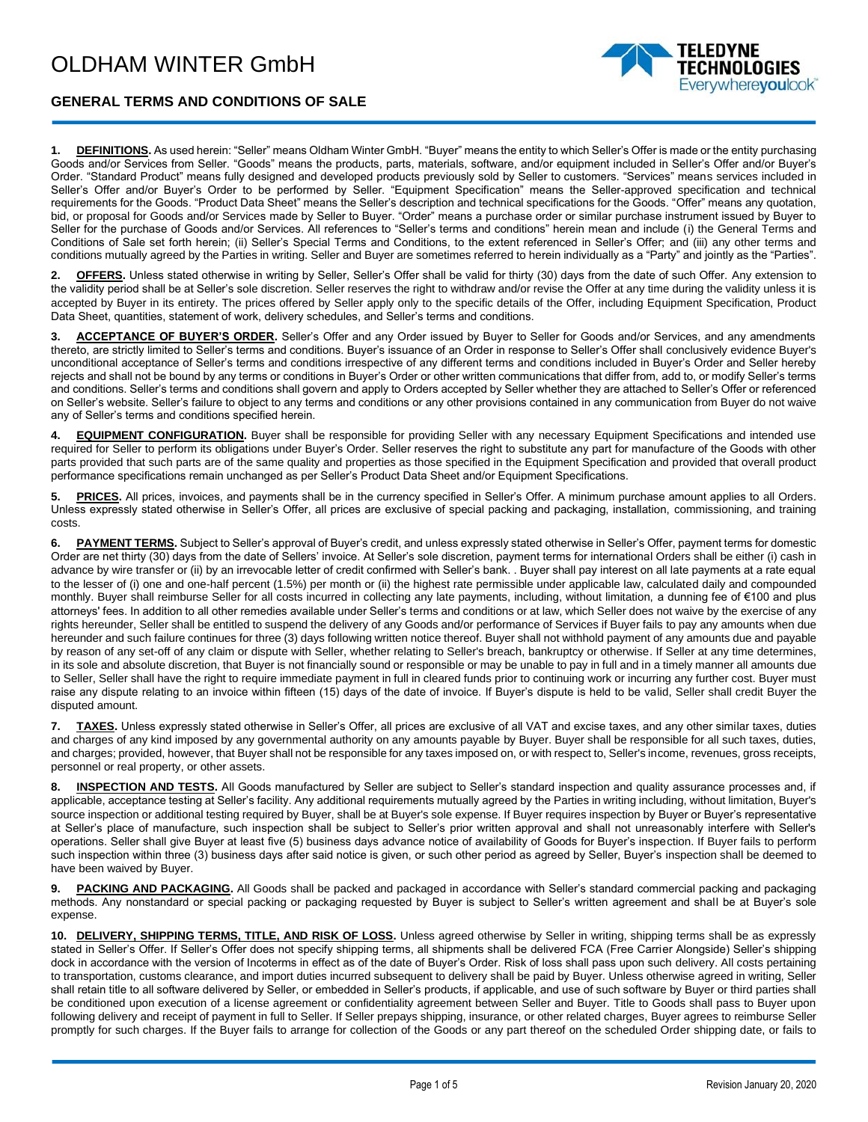

## **GENERAL TERMS AND CONDITIONS OF SALE**

**1. DEFINITIONS.** As used herein: "Seller" means Oldham Winter GmbH. "Buyer" means the entity to which Seller's Offer is made or the entity purchasing Goods and/or Services from Seller. "Goods" means the products, parts, materials, software, and/or equipment included in Seller's Offer and/or Buyer's Order. "Standard Product" means fully designed and developed products previously sold by Seller to customers. "Services" means services included in Seller's Offer and/or Buyer's Order to be performed by Seller. "Equipment Specification" means the Seller-approved specification and technical requirements for the Goods. "Product Data Sheet" means the Seller's description and technical specifications for the Goods. "Offer" means any quotation, bid, or proposal for Goods and/or Services made by Seller to Buyer. "Order" means a purchase order or similar purchase instrument issued by Buyer to Seller for the purchase of Goods and/or Services. All references to "Seller's terms and conditions" herein mean and include (i) the General Terms and Conditions of Sale set forth herein; (ii) Seller's Special Terms and Conditions, to the extent referenced in Seller's Offer; and (iii) any other terms and conditions mutually agreed by the Parties in writing. Seller and Buyer are sometimes referred to herein individually as a "Party" and jointly as the "Parties".

**2. OFFERS.** Unless stated otherwise in writing by Seller, Seller's Offer shall be valid for thirty (30) days from the date of such Offer. Any extension to the validity period shall be at Seller's sole discretion. Seller reserves the right to withdraw and/or revise the Offer at any time during the validity unless it is accepted by Buyer in its entirety. The prices offered by Seller apply only to the specific details of the Offer, including Equipment Specification, Product Data Sheet, quantities, statement of work, delivery schedules, and Seller's terms and conditions.

**3. ACCEPTANCE OF BUYER'S ORDER.** Seller's Offer and any Order issued by Buyer to Seller for Goods and/or Services, and any amendments thereto, are strictly limited to Seller's terms and conditions. Buyer's issuance of an Order in response to Seller's Offer shall conclusively evidence Buyer's unconditional acceptance of Seller's terms and conditions irrespective of any different terms and conditions included in Buyer's Order and Seller hereby rejects and shall not be bound by any terms or conditions in Buyer's Order or other written communications that differ from, add to, or modify Seller's terms and conditions. Seller's terms and conditions shall govern and apply to Orders accepted by Seller whether they are attached to Seller's Offer or referenced on Seller's website. Seller's failure to object to any terms and conditions or any other provisions contained in any communication from Buyer do not waive any of Seller's terms and conditions specified herein.

**4. EQUIPMENT CONFIGURATION.** Buyer shall be responsible for providing Seller with any necessary Equipment Specifications and intended use required for Seller to perform its obligations under Buyer's Order. Seller reserves the right to substitute any part for manufacture of the Goods with other parts provided that such parts are of the same quality and properties as those specified in the Equipment Specification and provided that overall product performance specifications remain unchanged as per Seller's Product Data Sheet and/or Equipment Specifications.

**5. PRICES.** All prices, invoices, and payments shall be in the currency specified in Seller's Offer. A minimum purchase amount applies to all Orders. Unless expressly stated otherwise in Seller's Offer, all prices are exclusive of special packing and packaging, installation, commissioning, and training costs.

**6. PAYMENT TERMS.** Subject to Seller's approval of Buyer's credit, and unless expressly stated otherwise in Seller's Offer, payment terms for domestic Order are net thirty (30) days from the date of Sellers' invoice. At Seller's sole discretion, payment terms for international Orders shall be either (i) cash in advance by wire transfer or (ii) by an irrevocable letter of credit confirmed with Seller's bank. . Buyer shall pay interest on all late payments at a rate equal to the lesser of (i) one and one-half percent (1.5%) per month or (ii) the highest rate permissible under applicable law, calculated daily and compounded monthly. Buyer shall reimburse Seller for all costs incurred in collecting any late payments, including, without limitation, a dunning fee of €100 and plus attorneys' fees. In addition to all other remedies available under Seller's terms and conditions or at law, which Seller does not waive by the exercise of any rights hereunder, Seller shall be entitled to suspend the delivery of any Goods and/or performance of Services if Buyer fails to pay any amounts when due hereunder and such failure continues for three (3) days following written notice thereof. Buyer shall not withhold payment of any amounts due and payable by reason of any set-off of any claim or dispute with Seller, whether relating to Seller's breach, bankruptcy or otherwise. If Seller at any time determines, in its sole and absolute discretion, that Buyer is not financially sound or responsible or may be unable to pay in full and in a timely manner all amounts due to Seller, Seller shall have the right to require immediate payment in full in cleared funds prior to continuing work or incurring any further cost. Buyer must raise any dispute relating to an invoice within fifteen (15) days of the date of invoice. If Buyer's dispute is held to be valid, Seller shall credit Buyer the disputed amount.

**7. TAXES.** Unless expressly stated otherwise in Seller's Offer, all prices are exclusive of all VAT and excise taxes, and any other similar taxes, duties and charges of any kind imposed by any governmental authority on any amounts payable by Buyer. Buyer shall be responsible for all such taxes, duties, and charges; provided, however, that Buyer shall not be responsible for any taxes imposed on, or with respect to, Seller's income, revenues, gross receipts, personnel or real property, or other assets.

**8. INSPECTION AND TESTS.** All Goods manufactured by Seller are subject to Seller's standard inspection and quality assurance processes and, if applicable, acceptance testing at Seller's facility. Any additional requirements mutually agreed by the Parties in writing including, without limitation, Buyer's source inspection or additional testing required by Buyer, shall be at Buyer's sole expense. If Buyer requires inspection by Buyer or Buyer's representative at Seller's place of manufacture, such inspection shall be subject to Seller's prior written approval and shall not unreasonably interfere with Seller's operations. Seller shall give Buyer at least five (5) business days advance notice of availability of Goods for Buyer's inspection. If Buyer fails to perform such inspection within three (3) business days after said notice is given, or such other period as agreed by Seller, Buyer's inspection shall be deemed to have been waived by Buyer.

**9. PACKING AND PACKAGING.** All Goods shall be packed and packaged in accordance with Seller's standard commercial packing and packaging methods. Any nonstandard or special packing or packaging requested by Buyer is subject to Seller's written agreement and shall be at Buyer's sole expense.

**10. DELIVERY, SHIPPING TERMS, TITLE, AND RISK OF LOSS.** Unless agreed otherwise by Seller in writing, shipping terms shall be as expressly stated in Seller's Offer. If Seller's Offer does not specify shipping terms, all shipments shall be delivered FCA (Free Carrier Alongside) Seller's shipping dock in accordance with the version of Incoterms in effect as of the date of Buyer's Order. Risk of loss shall pass upon such delivery. All costs pertaining to transportation, customs clearance, and import duties incurred subsequent to delivery shall be paid by Buyer. Unless otherwise agreed in writing, Seller shall retain title to all software delivered by Seller, or embedded in Seller's products, if applicable, and use of such software by Buyer or third parties shall be conditioned upon execution of a license agreement or confidentiality agreement between Seller and Buyer. Title to Goods shall pass to Buyer upon following delivery and receipt of payment in full to Seller. If Seller prepays shipping, insurance, or other related charges, Buyer agrees to reimburse Seller promptly for such charges. If the Buyer fails to arrange for collection of the Goods or any part thereof on the scheduled Order shipping date, or fails to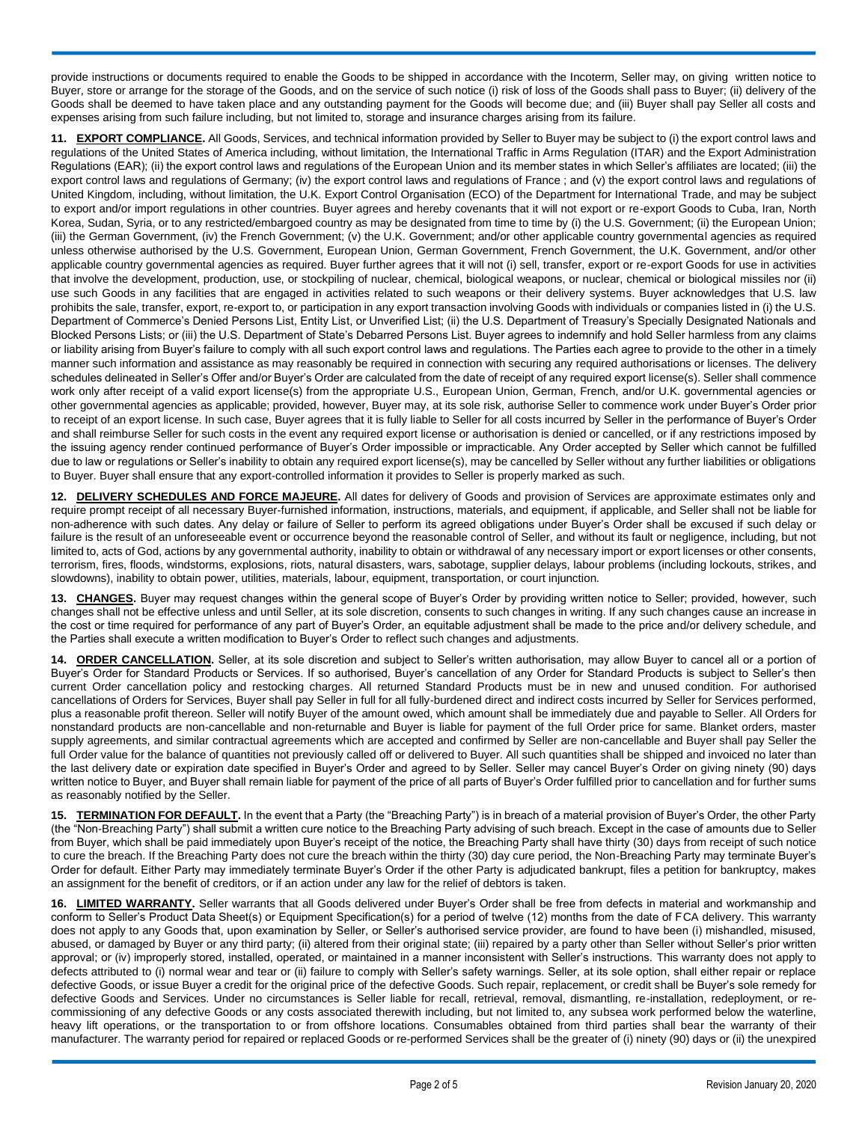provide instructions or documents required to enable the Goods to be shipped in accordance with the Incoterm, Seller may, on giving written notice to Buyer, store or arrange for the storage of the Goods, and on the service of such notice (i) risk of loss of the Goods shall pass to Buyer; (ii) delivery of the Goods shall be deemed to have taken place and any outstanding payment for the Goods will become due; and (iii) Buyer shall pay Seller all costs and expenses arising from such failure including, but not limited to, storage and insurance charges arising from its failure.

**11. EXPORT COMPLIANCE.** All Goods, Services, and technical information provided by Seller to Buyer may be subject to (i) the export control laws and regulations of the United States of America including, without limitation, the International Traffic in Arms Regulation (ITAR) and the Export Administration Regulations (EAR); (ii) the export control laws and regulations of the European Union and its member states in which Seller's affiliates are located; (iii) the export control laws and regulations of Germany; (iv) the export control laws and regulations of France ; and (v) the export control laws and regulations of United Kingdom, including, without limitation, the U.K. Export Control Organisation (ECO) of the Department for International Trade, and may be subject to export and/or import regulations in other countries. Buyer agrees and hereby covenants that it will not export or re-export Goods to Cuba, Iran, North Korea, Sudan, Syria, or to any restricted/embargoed country as may be designated from time to time by (i) the U.S. Government; (ii) the European Union; (iii) the German Government, (iv) the French Government; (v) the U.K. Government; and/or other applicable country governmental agencies as required unless otherwise authorised by the U.S. Government, European Union, German Government, French Government, the U.K. Government, and/or other applicable country governmental agencies as required. Buyer further agrees that it will not (i) sell, transfer, export or re-export Goods for use in activities that involve the development, production, use, or stockpiling of nuclear, chemical, biological weapons, or nuclear, chemical or biological missiles nor (ii) use such Goods in any facilities that are engaged in activities related to such weapons or their delivery systems. Buyer acknowledges that U.S. law prohibits the sale, transfer, export, re-export to, or participation in any export transaction involving Goods with individuals or companies listed in (i) the U.S. Department of Commerce's Denied Persons List, Entity List, or Unverified List; (ii) the U.S. Department of Treasury's Specially Designated Nationals and Blocked Persons Lists; or (iii) the U.S. Department of State's Debarred Persons List. Buyer agrees to indemnify and hold Seller harmless from any claims or liability arising from Buyer's failure to comply with all such export control laws and regulations. The Parties each agree to provide to the other in a timely manner such information and assistance as may reasonably be required in connection with securing any required authorisations or licenses. The delivery schedules delineated in Seller's Offer and/or Buyer's Order are calculated from the date of receipt of any required export license(s). Seller shall commence work only after receipt of a valid export license(s) from the appropriate U.S., European Union, German, French, and/or U.K. governmental agencies or other governmental agencies as applicable; provided, however, Buyer may, at its sole risk, authorise Seller to commence work under Buyer's Order prior to receipt of an export license. In such case, Buyer agrees that it is fully liable to Seller for all costs incurred by Seller in the performance of Buyer's Order and shall reimburse Seller for such costs in the event any required export license or authorisation is denied or cancelled, or if any restrictions imposed by the issuing agency render continued performance of Buyer's Order impossible or impracticable. Any Order accepted by Seller which cannot be fulfilled due to law or regulations or Seller's inability to obtain any required export license(s), may be cancelled by Seller without any further liabilities or obligations to Buyer. Buyer shall ensure that any export-controlled information it provides to Seller is properly marked as such.

**12. DELIVERY SCHEDULES AND FORCE MAJEURE.** All dates for delivery of Goods and provision of Services are approximate estimates only and require prompt receipt of all necessary Buyer-furnished information, instructions, materials, and equipment, if applicable, and Seller shall not be liable for non-adherence with such dates. Any delay or failure of Seller to perform its agreed obligations under Buyer's Order shall be excused if such delay or failure is the result of an unforeseeable event or occurrence beyond the reasonable control of Seller, and without its fault or negligence, including, but not limited to, acts of God, actions by any governmental authority, inability to obtain or withdrawal of any necessary import or export licenses or other consents, terrorism, fires, floods, windstorms, explosions, riots, natural disasters, wars, sabotage, supplier delays, labour problems (including lockouts, strikes, and slowdowns), inability to obtain power, utilities, materials, labour, equipment, transportation, or court injunction.

**13. CHANGES.** Buyer may request changes within the general scope of Buyer's Order by providing written notice to Seller; provided, however, such changes shall not be effective unless and until Seller, at its sole discretion, consents to such changes in writing. If any such changes cause an increase in the cost or time required for performance of any part of Buyer's Order, an equitable adjustment shall be made to the price and/or delivery schedule, and the Parties shall execute a written modification to Buyer's Order to reflect such changes and adjustments.

**14. ORDER CANCELLATION.** Seller, at its sole discretion and subject to Seller's written authorisation, may allow Buyer to cancel all or a portion of Buyer's Order for Standard Products or Services. If so authorised, Buyer's cancellation of any Order for Standard Products is subject to Seller's then current Order cancellation policy and restocking charges. All returned Standard Products must be in new and unused condition. For authorised cancellations of Orders for Services, Buyer shall pay Seller in full for all fully-burdened direct and indirect costs incurred by Seller for Services performed, plus a reasonable profit thereon. Seller will notify Buyer of the amount owed, which amount shall be immediately due and payable to Seller. All Orders for nonstandard products are non-cancellable and non-returnable and Buyer is liable for payment of the full Order price for same. Blanket orders, master supply agreements, and similar contractual agreements which are accepted and confirmed by Seller are non-cancellable and Buyer shall pay Seller the full Order value for the balance of quantities not previously called off or delivered to Buyer. All such quantities shall be shipped and invoiced no later than the last delivery date or expiration date specified in Buyer's Order and agreed to by Seller. Seller may cancel Buyer's Order on giving ninety (90) days written notice to Buyer, and Buyer shall remain liable for payment of the price of all parts of Buyer's Order fulfilled prior to cancellation and for further sums as reasonably notified by the Seller.

**15. TERMINATION FOR DEFAULT.** In the event that a Party (the "Breaching Party") is in breach of a material provision of Buyer's Order, the other Party (the "Non-Breaching Party") shall submit a written cure notice to the Breaching Party advising of such breach. Except in the case of amounts due to Seller from Buyer, which shall be paid immediately upon Buyer's receipt of the notice, the Breaching Party shall have thirty (30) days from receipt of such notice to cure the breach. If the Breaching Party does not cure the breach within the thirty (30) day cure period, the Non-Breaching Party may terminate Buyer's Order for default. Either Party may immediately terminate Buyer's Order if the other Party is adjudicated bankrupt, files a petition for bankruptcy, makes an assignment for the benefit of creditors, or if an action under any law for the relief of debtors is taken.

**16. LIMITED WARRANTY.** Seller warrants that all Goods delivered under Buyer's Order shall be free from defects in material and workmanship and conform to Seller's Product Data Sheet(s) or Equipment Specification(s) for a period of twelve (12) months from the date of FCA delivery. This warranty does not apply to any Goods that, upon examination by Seller, or Seller's authorised service provider, are found to have been (i) mishandled, misused, abused, or damaged by Buyer or any third party; (ii) altered from their original state; (iii) repaired by a party other than Seller without Seller's prior written approval; or (iv) improperly stored, installed, operated, or maintained in a manner inconsistent with Seller's instructions. This warranty does not apply to defects attributed to (i) normal wear and tear or (ii) failure to comply with Seller's safety warnings. Seller, at its sole option, shall either repair or replace defective Goods, or issue Buyer a credit for the original price of the defective Goods. Such repair, replacement, or credit shall be Buyer's sole remedy for defective Goods and Services. Under no circumstances is Seller liable for recall, retrieval, removal, dismantling, re-installation, redeployment, or recommissioning of any defective Goods or any costs associated therewith including, but not limited to, any subsea work performed below the waterline, heavy lift operations, or the transportation to or from offshore locations. Consumables obtained from third parties shall bear the warranty of their manufacturer. The warranty period for repaired or replaced Goods or re-performed Services shall be the greater of (i) ninety (90) days or (ii) the unexpired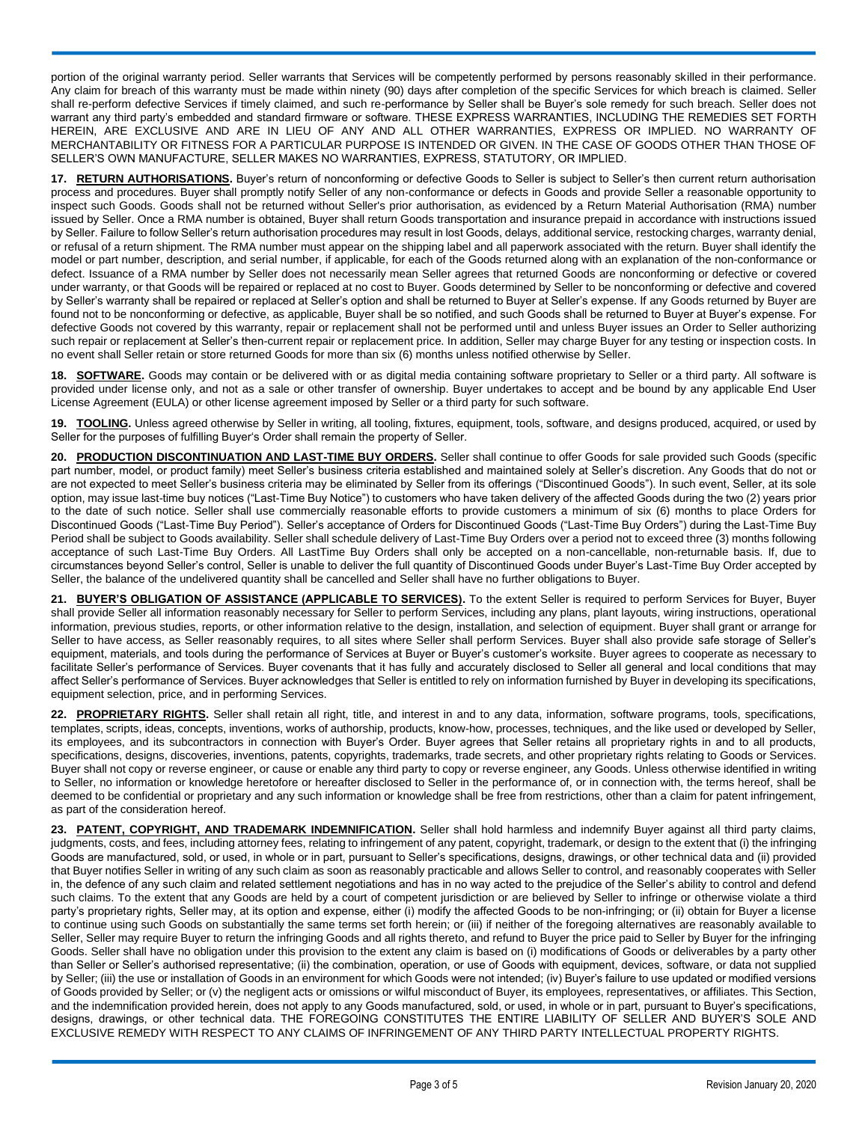portion of the original warranty period. Seller warrants that Services will be competently performed by persons reasonably skilled in their performance. Any claim for breach of this warranty must be made within ninety (90) days after completion of the specific Services for which breach is claimed. Seller shall re-perform defective Services if timely claimed, and such re-performance by Seller shall be Buyer's sole remedy for such breach. Seller does not warrant any third party's embedded and standard firmware or software. THESE EXPRESS WARRANTIES, INCLUDING THE REMEDIES SET FORTH HEREIN, ARE EXCLUSIVE AND ARE IN LIEU OF ANY AND ALL OTHER WARRANTIES, EXPRESS OR IMPLIED. NO WARRANTY OF MERCHANTABILITY OR FITNESS FOR A PARTICULAR PURPOSE IS INTENDED OR GIVEN. IN THE CASE OF GOODS OTHER THAN THOSE OF SELLER'S OWN MANUFACTURE, SELLER MAKES NO WARRANTIES, EXPRESS, STATUTORY, OR IMPLIED.

**17. RETURN AUTHORISATIONS.** Buyer's return of nonconforming or defective Goods to Seller is subject to Seller's then current return authorisation process and procedures. Buyer shall promptly notify Seller of any non-conformance or defects in Goods and provide Seller a reasonable opportunity to inspect such Goods. Goods shall not be returned without Seller's prior authorisation, as evidenced by a Return Material Authorisation (RMA) number issued by Seller. Once a RMA number is obtained, Buyer shall return Goods transportation and insurance prepaid in accordance with instructions issued by Seller. Failure to follow Seller's return authorisation procedures may result in lost Goods, delays, additional service, restocking charges, warranty denial, or refusal of a return shipment. The RMA number must appear on the shipping label and all paperwork associated with the return. Buyer shall identify the model or part number, description, and serial number, if applicable, for each of the Goods returned along with an explanation of the non-conformance or defect. Issuance of a RMA number by Seller does not necessarily mean Seller agrees that returned Goods are nonconforming or defective or covered under warranty, or that Goods will be repaired or replaced at no cost to Buyer. Goods determined by Seller to be nonconforming or defective and covered by Seller's warranty shall be repaired or replaced at Seller's option and shall be returned to Buyer at Seller's expense. If any Goods returned by Buyer are found not to be nonconforming or defective, as applicable, Buyer shall be so notified, and such Goods shall be returned to Buyer at Buyer's expense. For defective Goods not covered by this warranty, repair or replacement shall not be performed until and unless Buyer issues an Order to Seller authorizing such repair or replacement at Seller's then-current repair or replacement price. In addition, Seller may charge Buyer for any testing or inspection costs. In no event shall Seller retain or store returned Goods for more than six (6) months unless notified otherwise by Seller.

**18. SOFTWARE.** Goods may contain or be delivered with or as digital media containing software proprietary to Seller or a third party. All software is provided under license only, and not as a sale or other transfer of ownership. Buyer undertakes to accept and be bound by any applicable End User License Agreement (EULA) or other license agreement imposed by Seller or a third party for such software.

**19. TOOLING.** Unless agreed otherwise by Seller in writing, all tooling, fixtures, equipment, tools, software, and designs produced, acquired, or used by Seller for the purposes of fulfilling Buyer's Order shall remain the property of Seller.

**20. PRODUCTION DISCONTINUATION AND LAST-TIME BUY ORDERS.** Seller shall continue to offer Goods for sale provided such Goods (specific part number, model, or product family) meet Seller's business criteria established and maintained solely at Seller's discretion. Any Goods that do not or are not expected to meet Seller's business criteria may be eliminated by Seller from its offerings ("Discontinued Goods"). In such event, Seller, at its sole option, may issue last-time buy notices ("Last-Time Buy Notice") to customers who have taken delivery of the affected Goods during the two (2) years prior to the date of such notice. Seller shall use commercially reasonable efforts to provide customers a minimum of six (6) months to place Orders for Discontinued Goods ("Last-Time Buy Period"). Seller's acceptance of Orders for Discontinued Goods ("Last-Time Buy Orders") during the Last-Time Buy Period shall be subject to Goods availability. Seller shall schedule delivery of Last-Time Buy Orders over a period not to exceed three (3) months following acceptance of such Last-Time Buy Orders. All LastTime Buy Orders shall only be accepted on a non-cancellable, non-returnable basis. If, due to circumstances beyond Seller's control, Seller is unable to deliver the full quantity of Discontinued Goods under Buyer's Last-Time Buy Order accepted by Seller, the balance of the undelivered quantity shall be cancelled and Seller shall have no further obligations to Buyer.

**21. BUYER'S OBLIGATION OF ASSISTANCE (APPLICABLE TO SERVICES).** To the extent Seller is required to perform Services for Buyer, Buyer shall provide Seller all information reasonably necessary for Seller to perform Services, including any plans, plant layouts, wiring instructions, operational information, previous studies, reports, or other information relative to the design, installation, and selection of equipment. Buyer shall grant or arrange for Seller to have access, as Seller reasonably requires, to all sites where Seller shall perform Services. Buyer shall also provide safe storage of Seller's equipment, materials, and tools during the performance of Services at Buyer or Buyer's customer's worksite. Buyer agrees to cooperate as necessary to facilitate Seller's performance of Services. Buyer covenants that it has fully and accurately disclosed to Seller all general and local conditions that may affect Seller's performance of Services. Buyer acknowledges that Seller is entitled to rely on information furnished by Buyer in developing its specifications, equipment selection, price, and in performing Services.

**22. PROPRIETARY RIGHTS.** Seller shall retain all right, title, and interest in and to any data, information, software programs, tools, specifications, templates, scripts, ideas, concepts, inventions, works of authorship, products, know-how, processes, techniques, and the like used or developed by Seller, its employees, and its subcontractors in connection with Buyer's Order. Buyer agrees that Seller retains all proprietary rights in and to all products, specifications, designs, discoveries, inventions, patents, copyrights, trademarks, trade secrets, and other proprietary rights relating to Goods or Services. Buyer shall not copy or reverse engineer, or cause or enable any third party to copy or reverse engineer, any Goods. Unless otherwise identified in writing to Seller, no information or knowledge heretofore or hereafter disclosed to Seller in the performance of, or in connection with, the terms hereof, shall be deemed to be confidential or proprietary and any such information or knowledge shall be free from restrictions, other than a claim for patent infringement, as part of the consideration hereof.

**23. PATENT, COPYRIGHT, AND TRADEMARK INDEMNIFICATION.** Seller shall hold harmless and indemnify Buyer against all third party claims, judgments, costs, and fees, including attorney fees, relating to infringement of any patent, copyright, trademark, or design to the extent that (i) the infringing Goods are manufactured, sold, or used, in whole or in part, pursuant to Seller's specifications, designs, drawings, or other technical data and (ii) provided that Buyer notifies Seller in writing of any such claim as soon as reasonably practicable and allows Seller to control, and reasonably cooperates with Seller in, the defence of any such claim and related settlement negotiations and has in no way acted to the prejudice of the Seller's ability to control and defend such claims. To the extent that any Goods are held by a court of competent jurisdiction or are believed by Seller to infringe or otherwise violate a third party's proprietary rights, Seller may, at its option and expense, either (i) modify the affected Goods to be non-infringing; or (ii) obtain for Buyer a license to continue using such Goods on substantially the same terms set forth herein; or (iii) if neither of the foregoing alternatives are reasonably available to Seller, Seller may require Buyer to return the infringing Goods and all rights thereto, and refund to Buyer the price paid to Seller by Buyer for the infringing Goods. Seller shall have no obligation under this provision to the extent any claim is based on (i) modifications of Goods or deliverables by a party other than Seller or Seller's authorised representative; (ii) the combination, operation, or use of Goods with equipment, devices, software, or data not supplied by Seller; (iii) the use or installation of Goods in an environment for which Goods were not intended; (iv) Buyer's failure to use updated or modified versions of Goods provided by Seller; or (v) the negligent acts or omissions or wilful misconduct of Buyer, its employees, representatives, or affiliates. This Section, and the indemnification provided herein, does not apply to any Goods manufactured, sold, or used, in whole or in part, pursuant to Buyer's specifications, designs, drawings, or other technical data. THE FOREGOING CONSTITUTES THE ENTIRE LIABILITY OF SELLER AND BUYER'S SOLE AND EXCLUSIVE REMEDY WITH RESPECT TO ANY CLAIMS OF INFRINGEMENT OF ANY THIRD PARTY INTELLECTUAL PROPERTY RIGHTS.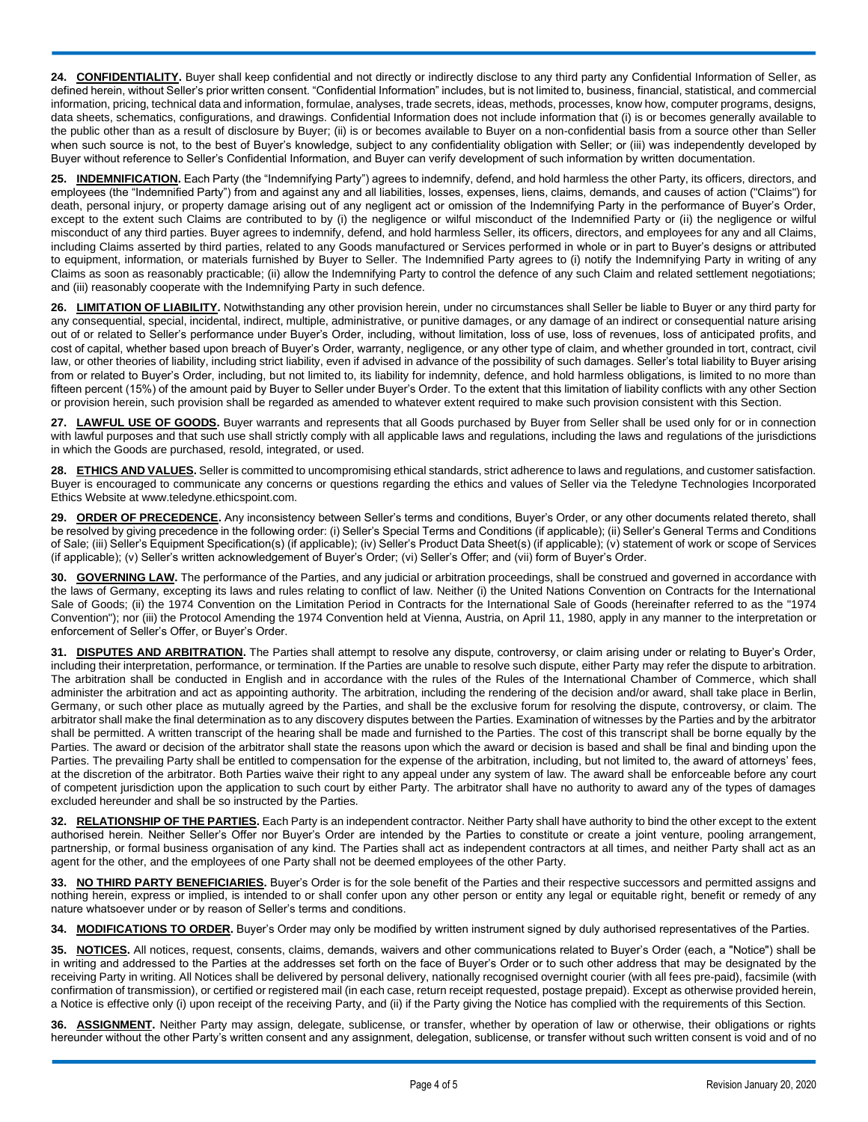24. **CONFIDENTIALITY**. Buyer shall keep confidential and not directly or indirectly disclose to any third party any Confidential Information of Seller, as defined herein, without Seller's prior written consent. "Confidential Information" includes, but is not limited to, business, financial, statistical, and commercial information, pricing, technical data and information, formulae, analyses, trade secrets, ideas, methods, processes, know how, computer programs, designs, data sheets, schematics, configurations, and drawings. Confidential Information does not include information that (i) is or becomes generally available to the public other than as a result of disclosure by Buyer; (ii) is or becomes available to Buyer on a non-confidential basis from a source other than Seller when such source is not, to the best of Buyer's knowledge, subject to any confidentiality obligation with Seller; or (iii) was independently developed by Buyer without reference to Seller's Confidential Information, and Buyer can verify development of such information by written documentation.

**INDEMNIFICATION.** Each Party (the "Indemnifying Party") agrees to indemnify, defend, and hold harmless the other Party, its officers, directors, and employees (the "Indemnified Party") from and against any and all liabilities, losses, expenses, liens, claims, demands, and causes of action ("Claims") for death, personal injury, or property damage arising out of any negligent act or omission of the Indemnifying Party in the performance of Buyer's Order, except to the extent such Claims are contributed to by (i) the negligence or wilful misconduct of the Indemnified Party or (ii) the negligence or wilful misconduct of any third parties. Buyer agrees to indemnify, defend, and hold harmless Seller, its officers, directors, and employees for any and all Claims, including Claims asserted by third parties, related to any Goods manufactured or Services performed in whole or in part to Buyer's designs or attributed to equipment, information, or materials furnished by Buyer to Seller. The Indemnified Party agrees to (i) notify the Indemnifying Party in writing of any Claims as soon as reasonably practicable; (ii) allow the Indemnifying Party to control the defence of any such Claim and related settlement negotiations; and (iii) reasonably cooperate with the Indemnifying Party in such defence.

**26. LIMITATION OF LIABILITY.** Notwithstanding any other provision herein, under no circumstances shall Seller be liable to Buyer or any third party for any consequential, special, incidental, indirect, multiple, administrative, or punitive damages, or any damage of an indirect or consequential nature arising out of or related to Seller's performance under Buyer's Order, including, without limitation, loss of use, loss of revenues, loss of anticipated profits, and cost of capital, whether based upon breach of Buyer's Order, warranty, negligence, or any other type of claim, and whether grounded in tort, contract, civil law, or other theories of liability, including strict liability, even if advised in advance of the possibility of such damages. Seller's total liability to Buyer arising from or related to Buyer's Order, including, but not limited to, its liability for indemnity, defence, and hold harmless obligations, is limited to no more than fifteen percent (15%) of the amount paid by Buyer to Seller under Buyer's Order. To the extent that this limitation of liability conflicts with any other Section or provision herein, such provision shall be regarded as amended to whatever extent required to make such provision consistent with this Section.

**27. LAWFUL USE OF GOODS.** Buyer warrants and represents that all Goods purchased by Buyer from Seller shall be used only for or in connection with lawful purposes and that such use shall strictly comply with all applicable laws and regulations, including the laws and regulations of the jurisdictions in which the Goods are purchased, resold, integrated, or used.

**28. ETHICS AND VALUES.** Seller is committed to uncompromising ethical standards, strict adherence to laws and regulations, and customer satisfaction. Buyer is encouraged to communicate any concerns or questions regarding the ethics and values of Seller via the Teledyne Technologies Incorporated Ethics Website at www.teledyne.ethicspoint.com.

**29. ORDER OF PRECEDENCE.** Any inconsistency between Seller's terms and conditions, Buyer's Order, or any other documents related thereto, shall be resolved by giving precedence in the following order: (i) Seller's Special Terms and Conditions (if applicable); (ii) Seller's General Terms and Conditions of Sale; (iii) Seller's Equipment Specification(s) (if applicable); (iv) Seller's Product Data Sheet(s) (if applicable); (v) statement of work or scope of Services (if applicable); (v) Seller's written acknowledgement of Buyer's Order; (vi) Seller's Offer; and (vii) form of Buyer's Order.

**30. GOVERNING LAW.** The performance of the Parties, and any judicial or arbitration proceedings, shall be construed and governed in accordance with the laws of Germany, excepting its laws and rules relating to conflict of law. Neither (i) the United Nations Convention on Contracts for the International Sale of Goods; (ii) the 1974 Convention on the Limitation Period in Contracts for the International Sale of Goods (hereinafter referred to as the "1974 Convention"); nor (iii) the Protocol Amending the 1974 Convention held at Vienna, Austria, on April 11, 1980, apply in any manner to the interpretation or enforcement of Seller's Offer, or Buyer's Order.

**31. DISPUTES AND ARBITRATION.** The Parties shall attempt to resolve any dispute, controversy, or claim arising under or relating to Buyer's Order, including their interpretation, performance, or termination. If the Parties are unable to resolve such dispute, either Party may refer the dispute to arbitration. The arbitration shall be conducted in English and in accordance with the rules of the Rules of the International Chamber of Commerce, which shall administer the arbitration and act as appointing authority. The arbitration, including the rendering of the decision and/or award, shall take place in Berlin, Germany, or such other place as mutually agreed by the Parties, and shall be the exclusive forum for resolving the dispute, controversy, or claim. The arbitrator shall make the final determination as to any discovery disputes between the Parties. Examination of witnesses by the Parties and by the arbitrator shall be permitted. A written transcript of the hearing shall be made and furnished to the Parties. The cost of this transcript shall be borne equally by the Parties. The award or decision of the arbitrator shall state the reasons upon which the award or decision is based and shall be final and binding upon the Parties. The prevailing Party shall be entitled to compensation for the expense of the arbitration, including, but not limited to, the award of attorneys' fees, at the discretion of the arbitrator. Both Parties waive their right to any appeal under any system of law. The award shall be enforceable before any court of competent jurisdiction upon the application to such court by either Party. The arbitrator shall have no authority to award any of the types of damages excluded hereunder and shall be so instructed by the Parties.

**32. RELATIONSHIP OF THE PARTIES.** Each Party is an independent contractor. Neither Party shall have authority to bind the other except to the extent authorised herein. Neither Seller's Offer nor Buyer's Order are intended by the Parties to constitute or create a joint venture, pooling arrangement, partnership, or formal business organisation of any kind. The Parties shall act as independent contractors at all times, and neither Party shall act as an agent for the other, and the employees of one Party shall not be deemed employees of the other Party.

**33. NO THIRD PARTY BENEFICIARIES.** Buyer's Order is for the sole benefit of the Parties and their respective successors and permitted assigns and nothing herein, express or implied, is intended to or shall confer upon any other person or entity any legal or equitable right, benefit or remedy of any nature whatsoever under or by reason of Seller's terms and conditions.

**34. MODIFICATIONS TO ORDER.** Buyer's Order may only be modified by written instrument signed by duly authorised representatives of the Parties.

**35. NOTICES.** All notices, request, consents, claims, demands, waivers and other communications related to Buyer's Order (each, a "Notice") shall be in writing and addressed to the Parties at the addresses set forth on the face of Buyer's Order or to such other address that may be designated by the receiving Party in writing. All Notices shall be delivered by personal delivery, nationally recognised overnight courier (with all fees pre-paid), facsimile (with confirmation of transmission), or certified or registered mail (in each case, return receipt requested, postage prepaid). Except as otherwise provided herein, a Notice is effective only (i) upon receipt of the receiving Party, and (ii) if the Party giving the Notice has complied with the requirements of this Section.

**36. ASSIGNMENT.** Neither Party may assign, delegate, sublicense, or transfer, whether by operation of law or otherwise, their obligations or rights hereunder without the other Party's written consent and any assignment, delegation, sublicense, or transfer without such written consent is void and of no